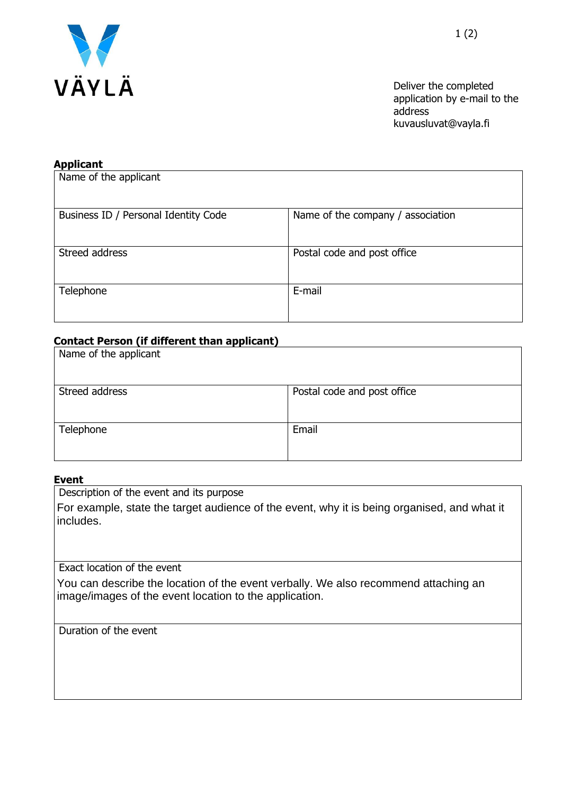

Deliver the completed application by e-mail to the address kuvausluvat@vayla.fi

## **Applicant**

| Name of the applicant                |                                   |
|--------------------------------------|-----------------------------------|
| Business ID / Personal Identity Code | Name of the company / association |
| Streed address                       | Postal code and post office       |
| Telephone                            | E-mail                            |

## **Contact Person (if different than applicant)**

| Name of the applicant |                             |
|-----------------------|-----------------------------|
| Streed address        | Postal code and post office |
| Telephone             | Email                       |

## **Event**

Description of the event and its purpose

For example, state the target audience of the event, why it is being organised, and what it includes.

Exact location of the event

You can describe the location of the event verbally. We also recommend attaching an image/images of the event location to the application.

Duration of the event